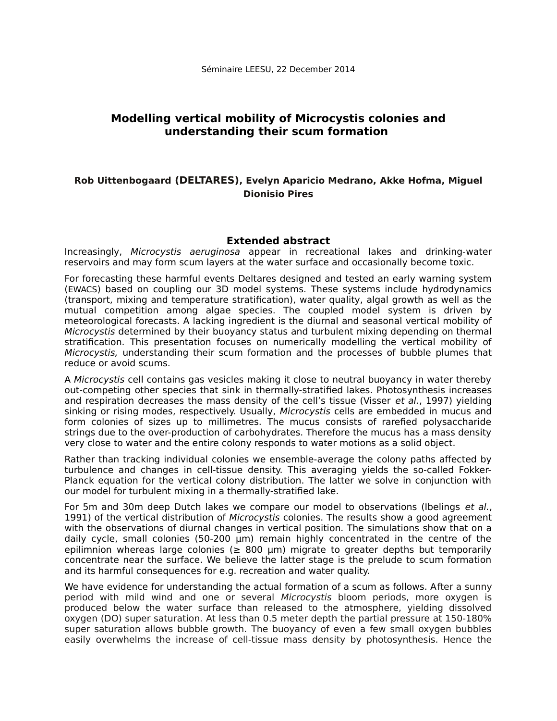## **Modelling vertical mobility of Microcystis colonies and understanding their scum formation**

## **Rob Uittenbogaard (DELTARES), Evelyn Aparicio Medrano, Akke Hofma, Miguel Dionisio Pires**

## **Extended abstract**

Increasingly, Microcystis aeruginosa appear in recreational lakes and drinking-water reservoirs and may form scum layers at the water surface and occasionally become toxic.

For forecasting these harmful events Deltares designed and tested an early warning system (EWACS) based on coupling our 3D model systems. These systems include hydrodynamics (transport, mixing and temperature stratification), water quality, algal growth as well as the mutual competition among algae species. The coupled model system is driven by meteorological forecasts. A lacking ingredient is the diurnal and seasonal vertical mobility of Microcystis determined by their buoyancy status and turbulent mixing depending on thermal stratification. This presentation focuses on numerically modelling the vertical mobility of Microcystis, understanding their scum formation and the processes of bubble plumes that reduce or avoid scums.

A Microcystis cell contains gas vesicles making it close to neutral buoyancy in water thereby out-competing other species that sink in thermally-stratified lakes. Photosynthesis increases and respiration decreases the mass density of the cell's tissue (Visser et al., 1997) yielding sinking or rising modes, respectively. Usually, Microcystis cells are embedded in mucus and form colonies of sizes up to millimetres. The mucus consists of rarefied polysaccharide strings due to the over-production of carbohydrates. Therefore the mucus has a mass density very close to water and the entire colony responds to water motions as a solid object.

Rather than tracking individual colonies we ensemble-average the colony paths affected by turbulence and changes in cell-tissue density. This averaging yields the so-called Fokker-Planck equation for the vertical colony distribution. The latter we solve in conjunction with our model for turbulent mixing in a thermally-stratified lake.

For 5m and 30m deep Dutch lakes we compare our model to observations (Ibelings et al., 1991) of the vertical distribution of Microcystis colonies. The results show a good agreement with the observations of diurnal changes in vertical position. The simulations show that on a daily cycle, small colonies (50-200 µm) remain highly concentrated in the centre of the epilimnion whereas large colonies ( $\geq 800 \text{ }\mu\text{m}$ ) migrate to greater depths but temporarily concentrate near the surface. We believe the latter stage is the prelude to scum formation and its harmful consequences for e.g. recreation and water quality.

We have evidence for understanding the actual formation of a scum as follows. After a sunny period with mild wind and one or several Microcystis bloom periods, more oxygen is produced below the water surface than released to the atmosphere, yielding dissolved oxygen (DO) super saturation. At less than 0.5 meter depth the partial pressure at 150-180% super saturation allows bubble growth. The buoyancy of even a few small oxygen bubbles easily overwhelms the increase of cell-tissue mass density by photosynthesis. Hence the